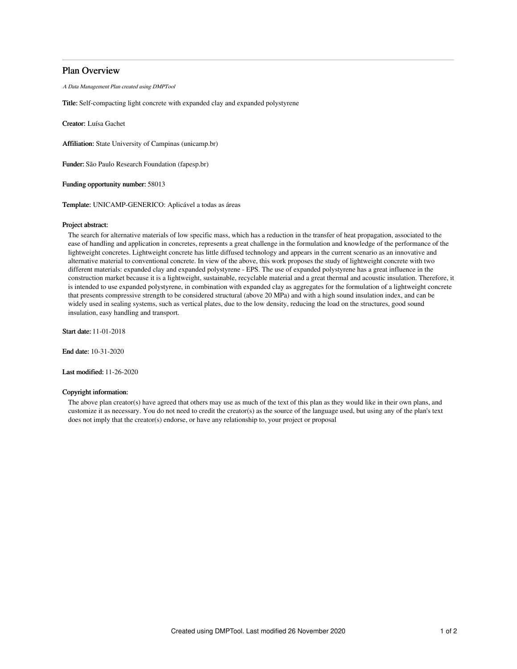# Plan Overview

A Data Management Plan created using DMPTool

Title: Self-compacting light concrete with expanded clay and expanded polystyrene

Creator: Luísa Gachet

Affiliation: State University of Campinas (unicamp.br)

Funder: São Paulo Research Foundation (fapesp.br)

Funding opportunity number: 58013

Template: UNICAMP-GENERICO: Aplicável a todas as áreas

## Project abstract:

The search for alternative materials of low specific mass, which has a reduction in the transfer of heat propagation, associated to the ease of handling and application in concretes, represents a great challenge in the formulation and knowledge of the performance of the lightweight concretes. Lightweight concrete has little diffused technology and appears in the current scenario as an innovative and alternative material to conventional concrete. In view of the above, this work proposes the study of lightweight concrete with two different materials: expanded clay and expanded polystyrene - EPS. The use of expanded polystyrene has a great influence in the construction market because it is a lightweight, sustainable, recyclable material and a great thermal and acoustic insulation. Therefore, it is intended to use expanded polystyrene, in combination with expanded clay as aggregates for the formulation of a lightweight concrete that presents compressive strength to be considered structural (above 20 MPa) and with a high sound insulation index, and can be widely used in sealing systems, such as vertical plates, due to the low density, reducing the load on the structures, good sound insulation, easy handling and transport.

Start date: 11-01-2018

End date: 10-31-2020

Last modified: 11-26-2020

### Copyright information:

The above plan creator(s) have agreed that others may use as much of the text of this plan as they would like in their own plans, and customize it as necessary. You do not need to credit the creator(s) as the source of the language used, but using any of the plan's text does not imply that the creator(s) endorse, or have any relationship to, your project or proposal